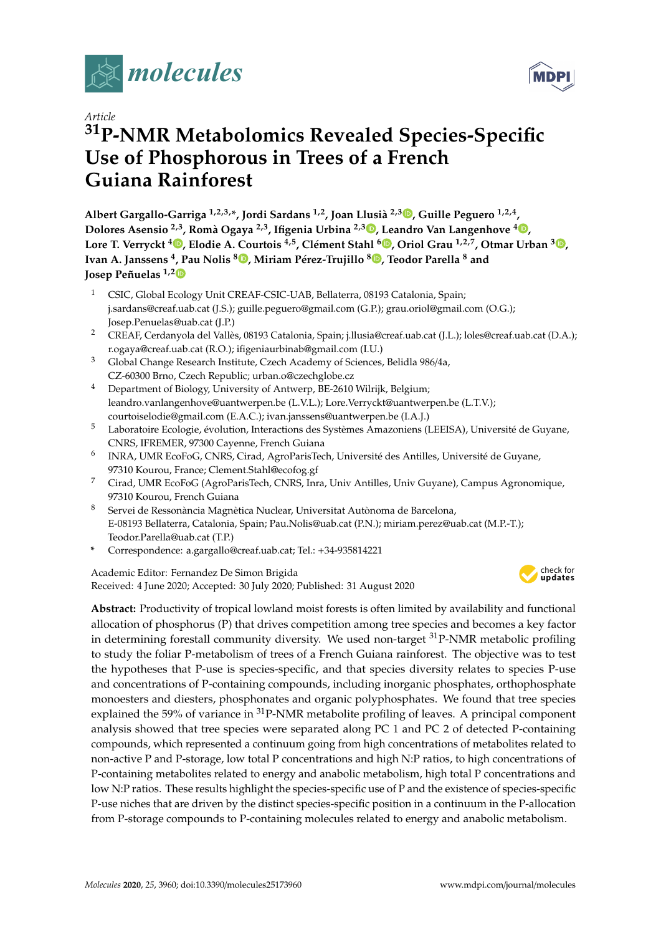



# **<sup>31</sup>P-NMR Metabolomics Revealed Species-Specific Use of Phosphorous in Trees of a French Guiana Rainforest**

**Albert Gargallo-Garriga 1,2,3,\*, Jordi Sardans 1,2, Joan Llusià 2,3 [,](https://orcid.org/0000-0003-0164-2737) Guille Peguero 1,2,4 , Dolores Asensio 2,3, Romà Ogaya 2,3, Ifigenia Urbina 2,3 [,](https://orcid.org/0000-0002-8541-950X) Leandro Van Langenhove <sup>4</sup> [,](https://orcid.org/0000-0002-9603-5106) Lore T. Verryckt <sup>4</sup> [,](https://orcid.org/0000-0002-9452-5216) Elodie A. Courtois 4,5, Clément Stahl <sup>6</sup> [,](https://orcid.org/0000-0001-5411-1169) Oriol Grau 1,2,7, Otmar Urban <sup>3</sup> [,](https://orcid.org/0000-0002-1716-8876) Ivan A. Janssens <sup>4</sup> , Pau Nolis <sup>8</sup> [,](https://orcid.org/0000-0003-2360-1709) Miriam Pérez-Trujillo <sup>8</sup> [,](https://orcid.org/0000-0002-6919-7417) Teodor Parella <sup>8</sup> and Josep Peñuelas 1,[2](https://orcid.org/0000-0002-7215-0150)**

- <sup>1</sup> CSIC, Global Ecology Unit CREAF-CSIC-UAB, Bellaterra, 08193 Catalonia, Spain; j.sardans@creaf.uab.cat (J.S.); guille.peguero@gmail.com (G.P.); grau.oriol@gmail.com (O.G.); Josep.Penuelas@uab.cat (J.P.)
- <sup>2</sup> CREAF, Cerdanyola del Vallès, 08193 Catalonia, Spain; j.llusia@creaf.uab.cat (J.L.); loles@creaf.uab.cat (D.A.); r.ogaya@creaf.uab.cat (R.O.); ifigeniaurbinab@gmail.com (I.U.)
- <sup>3</sup> Global Change Research Institute, Czech Academy of Sciences, Belidla 986/4a, CZ-60300 Brno, Czech Republic; urban.o@czechglobe.cz
- <sup>4</sup> Department of Biology, University of Antwerp, BE-2610 Wilrijk, Belgium; leandro.vanlangenhove@uantwerpen.be (L.V.L.); Lore.Verryckt@uantwerpen.be (L.T.V.); courtoiselodie@gmail.com (E.A.C.); ivan.janssens@uantwerpen.be (I.A.J.)
- <sup>5</sup> Laboratoire Ecologie, évolution, Interactions des Systèmes Amazoniens (LEEISA), Université de Guyane, CNRS, IFREMER, 97300 Cayenne, French Guiana
- <sup>6</sup> INRA, UMR EcoFoG, CNRS, Cirad, AgroParisTech, Université des Antilles, Université de Guyane, 97310 Kourou, France; Clement.Stahl@ecofog.gf
- <sup>7</sup> Cirad, UMR EcoFoG (AgroParisTech, CNRS, Inra, Univ Antilles, Univ Guyane), Campus Agronomique, 97310 Kourou, French Guiana
- Servei de Ressonància Magnètica Nuclear, Universitat Autònoma de Barcelona, E-08193 Bellaterra, Catalonia, Spain; Pau.Nolis@uab.cat (P.N.); miriam.perez@uab.cat (M.P.-T.); Teodor.Parella@uab.cat (T.P.)
- **\*** Correspondence: a.gargallo@creaf.uab.cat; Tel.: +34-935814221

Academic Editor: Fernandez De Simon Brigida Received: 4 June 2020; Accepted: 30 July 2020; Published: 31 August 2020



**Abstract:** Productivity of tropical lowland moist forests is often limited by availability and functional allocation of phosphorus (P) that drives competition among tree species and becomes a key factor in determining forestall community diversity. We used non-target  $31P\text{-NMR}$  metabolic profiling to study the foliar P-metabolism of trees of a French Guiana rainforest. The objective was to test the hypotheses that P-use is species-specific, and that species diversity relates to species P-use and concentrations of P-containing compounds, including inorganic phosphates, orthophosphate monoesters and diesters, phosphonates and organic polyphosphates. We found that tree species explained the 59% of variance in <sup>31</sup>P-NMR metabolite profiling of leaves. A principal component analysis showed that tree species were separated along PC 1 and PC 2 of detected P-containing compounds, which represented a continuum going from high concentrations of metabolites related to non-active P and P-storage, low total P concentrations and high N:P ratios, to high concentrations of P-containing metabolites related to energy and anabolic metabolism, high total P concentrations and low N:P ratios. These results highlight the species-specific use of P and the existence of species-specific P-use niches that are driven by the distinct species-specific position in a continuum in the P-allocation from P-storage compounds to P-containing molecules related to energy and anabolic metabolism.

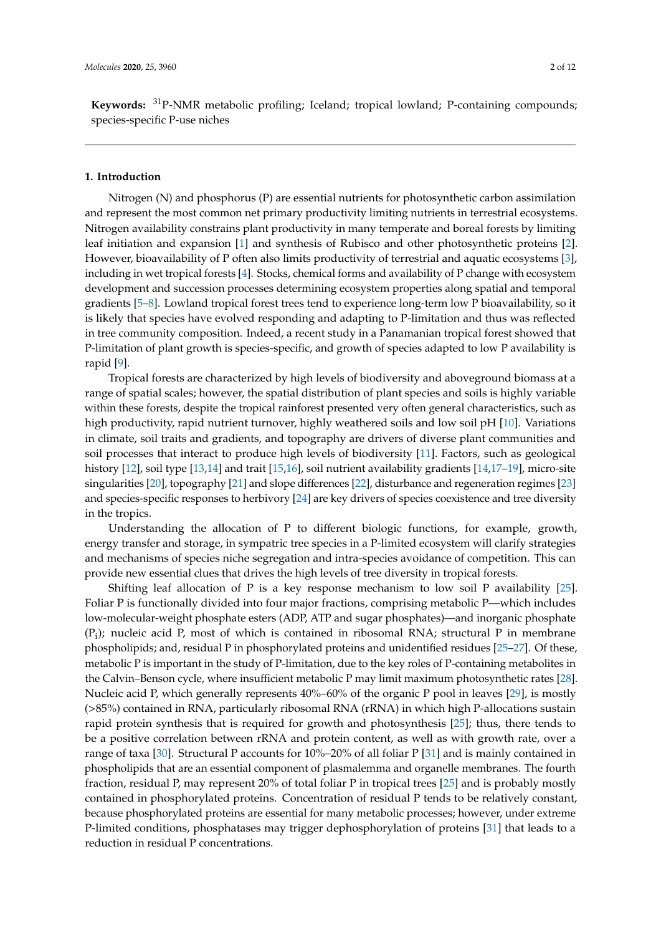**Keywords:** <sup>31</sup>P-NMR metabolic profiling; Iceland; tropical lowland; P-containing compounds; species-specific P-use niches

#### **1. Introduction**

Nitrogen (N) and phosphorus (P) are essential nutrients for photosynthetic carbon assimilation and represent the most common net primary productivity limiting nutrients in terrestrial ecosystems. Nitrogen availability constrains plant productivity in many temperate and boreal forests by limiting leaf initiation and expansion [\[1\]](#page-8-0) and synthesis of Rubisco and other photosynthetic proteins [\[2\]](#page-8-1). However, bioavailability of P often also limits productivity of terrestrial and aquatic ecosystems [\[3\]](#page-8-2), including in wet tropical forests [\[4\]](#page-8-3). Stocks, chemical forms and availability of P change with ecosystem development and succession processes determining ecosystem properties along spatial and temporal gradients [\[5–](#page-9-0)[8\]](#page-9-1). Lowland tropical forest trees tend to experience long-term low P bioavailability, so it is likely that species have evolved responding and adapting to P-limitation and thus was reflected in tree community composition. Indeed, a recent study in a Panamanian tropical forest showed that P-limitation of plant growth is species-specific, and growth of species adapted to low P availability is rapid [\[9\]](#page-9-2).

Tropical forests are characterized by high levels of biodiversity and aboveground biomass at a range of spatial scales; however, the spatial distribution of plant species and soils is highly variable within these forests, despite the tropical rainforest presented very often general characteristics, such as high productivity, rapid nutrient turnover, highly weathered soils and low soil pH [\[10\]](#page-9-3). Variations in climate, soil traits and gradients, and topography are drivers of diverse plant communities and soil processes that interact to produce high levels of biodiversity [\[11\]](#page-9-4). Factors, such as geological history [\[12\]](#page-9-5), soil type [\[13,](#page-9-6)[14\]](#page-9-7) and trait [\[15](#page-9-8)[,16\]](#page-9-9), soil nutrient availability gradients [\[14](#page-9-7)[,17](#page-9-10)[–19\]](#page-9-11), micro-site singularities [\[20\]](#page-9-12), topography [\[21\]](#page-9-13) and slope differences [\[22\]](#page-9-14), disturbance and regeneration regimes [\[23\]](#page-9-15) and species-specific responses to herbivory [\[24\]](#page-9-16) are key drivers of species coexistence and tree diversity in the tropics.

Understanding the allocation of P to different biologic functions, for example, growth, energy transfer and storage, in sympatric tree species in a P-limited ecosystem will clarify strategies and mechanisms of species niche segregation and intra-species avoidance of competition. This can provide new essential clues that drives the high levels of tree diversity in tropical forests.

Shifting leaf allocation of P is a key response mechanism to low soil P availability [\[25\]](#page-9-17). Foliar P is functionally divided into four major fractions, comprising metabolic P—which includes low-molecular-weight phosphate esters (ADP, ATP and sugar phosphates)—and inorganic phosphate  $(P_i)$ ; nucleic acid P, most of which is contained in ribosomal RNA; structural P in membrane phospholipids; and, residual P in phosphorylated proteins and unidentified residues [\[25–](#page-9-17)[27\]](#page-9-18). Of these, metabolic P is important in the study of P-limitation, due to the key roles of P-containing metabolites in the Calvin–Benson cycle, where insufficient metabolic P may limit maximum photosynthetic rates [\[28\]](#page-10-0). Nucleic acid P, which generally represents 40%–60% of the organic P pool in leaves [\[29\]](#page-10-1), is mostly (>85%) contained in RNA, particularly ribosomal RNA (rRNA) in which high P-allocations sustain rapid protein synthesis that is required for growth and photosynthesis [\[25\]](#page-9-17); thus, there tends to be a positive correlation between rRNA and protein content, as well as with growth rate, over a range of taxa [\[30\]](#page-10-2). Structural P accounts for 10%–20% of all foliar P [\[31\]](#page-10-3) and is mainly contained in phospholipids that are an essential component of plasmalemma and organelle membranes. The fourth fraction, residual P, may represent 20% of total foliar P in tropical trees [\[25\]](#page-9-17) and is probably mostly contained in phosphorylated proteins. Concentration of residual P tends to be relatively constant, because phosphorylated proteins are essential for many metabolic processes; however, under extreme P-limited conditions, phosphatases may trigger dephosphorylation of proteins [\[31\]](#page-10-3) that leads to a reduction in residual P concentrations.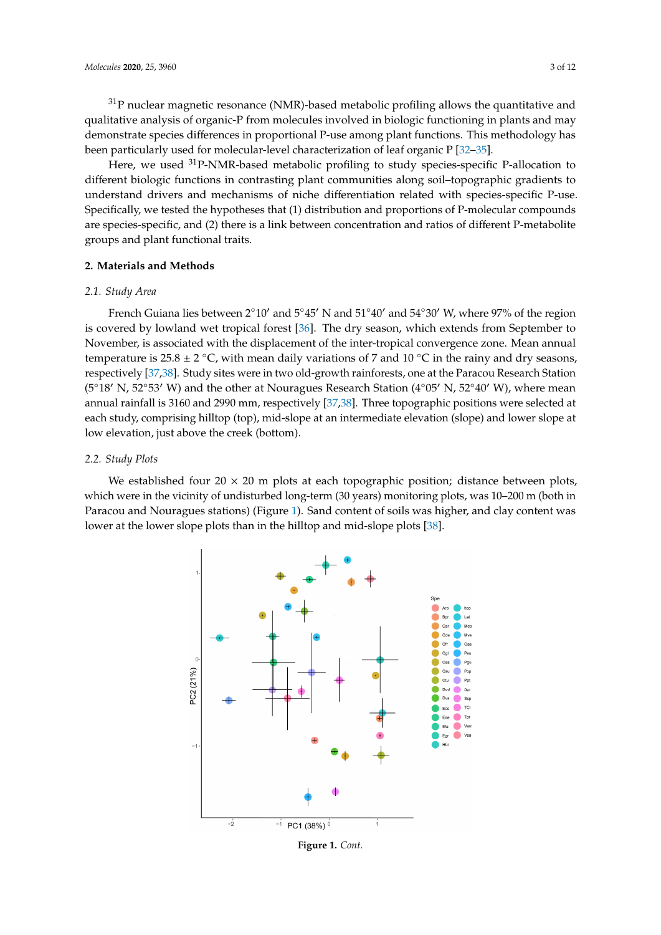$31P$  nuclear magnetic resonance (NMR)-based metabolic profiling allows the quantitative and qualitative analysis of organic-P from molecules involved in biologic functioning in plants and may demonstrate species differences in proportional P-use among plant functions. This methodology has been particularly used for molecular-level characterization of leaf organic P [\[32–](#page-10-4)[35\]](#page-10-5).

Here, we used <sup>31</sup>P-NMR-based metabolic profiling to study species-specific P-allocation to different biologic functions in contrasting plant communities along soil–topographic gradients to understand drivers and mechanisms of niche differentiation related with species-specific P-use. Specifically, we tested the hypotheses that (1) distribution and proportions of P-molecular compounds are species-specific, and (2) there is a link between concentration and ratios of different P-metabolite groups and plant functional traits.

### **2. Materials and Methods**

#### *2.1. Study Area*

French Guiana lies between  $2°10'$  and  $5°45'$  N and  $51°40'$  and  $54°30'$  W, where 97% of the region is covered by lowland wet tropical forest [\[36\]](#page-10-6). The dry season, which extends from September to November, is associated with the displacement of the inter-tropical convergence zone. Mean annual temperature is 25.8 ± 2 °C, with mean daily variations of 7 and 10 °C in the rainy and dry seasons, respectively [\[37,](#page-10-7)[38\]](#page-10-8). Study sites were in two old-growth rainforests, one at the Paracou Research Station  $(5°18' N, 52°53' W)$  and the other at Nouragues Research Station (4°05′ N, 52°40′ W), where mean annual rainfall is 3160 and 2990 mm, respectively [\[37](#page-10-7)[,38\]](#page-10-8). Three topographic positions were selected at each study, comprising hilltop (top), mid-slope at an intermediate elevation (slope) and lower slope at low elevation, just above the creek (bottom).

# *2.2. Study Plots*

We established four  $20 \times 20$  m plots at each topographic position; distance between plots, which were in the vicinity of undisturbed long-term (30 years) monitoring plots, was 10-200 m (both in Paracou and Nouragues stations) (Figure [1\)](#page-3-0). Sand content of soils was higher, and clay content was lower at the lower slope plots than in the hilltop and mid-slope plots [\[38\]](#page-10-8). a four 20  $\times$  20 m plots at each topographic position, dista ere a key driver, as indicated by the N and P concentrations and P concentrations and P concentrations and C: iope piots than in the nimop and mid-siope piots [56].



**Figure 1.** *Cont.*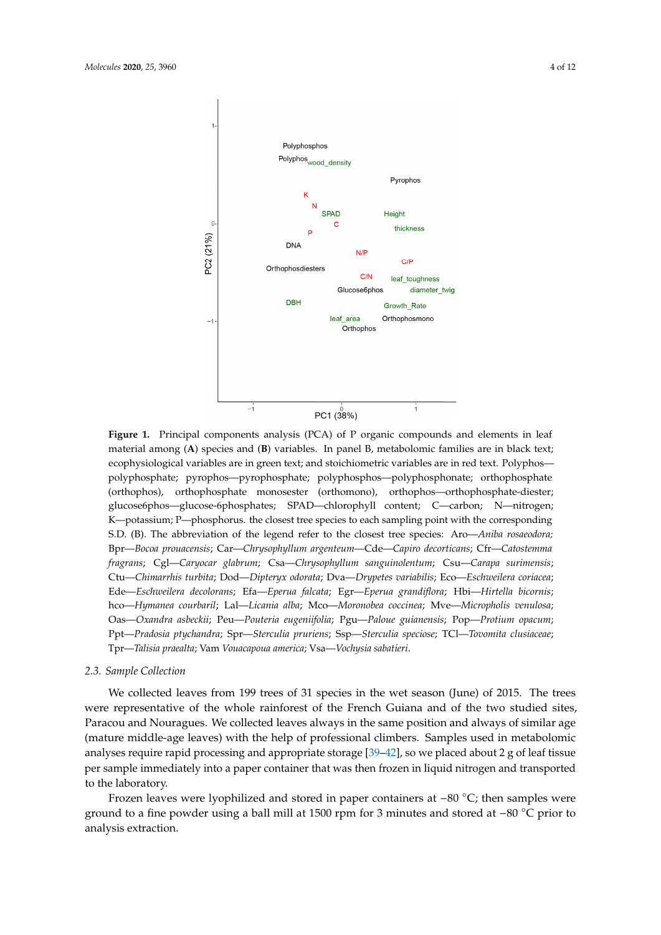<span id="page-3-0"></span>

Figure 1. Principal components analysis (PCA) of P organic compounds and elements in leaf material among (**A**) species and (**B**) variables. In panel B, metabolomic families are in black text;  $\mathbf{p}$  polyphosphate; pyrophosphate; polyphosphosphonate; polyphosphonate; orthophosphate; orthophosphate; orthophosphate;  $\mathbf{p}$ ecophysiological variables are in green text; and stoichiometric variables are in red text. Polyphos polyphosphate; pyrophos--pyrophosphate; polyphosphos--polyphosphonate; orthophosphate (orthophos), orthophosphate monosester (orthomono), orthophos—orthophosphate-diester; glucose6phos-glucose-6phosphates; SPAD-chlorophyll content; C-carbon; N-nitrogen; K-potassium; P-phosphorus. the closest tree species to each sampling point with the corresponding S.D. (B). The abbreviation of the legend refer to the closest tree species: Aro-*Aniba rosaeodora*; Bpr-Bocoa prouacensis; Car-Chrysophyllum argenteum-Cde-Capiro decorticans; Cfr-Catostemma *Vouacapoua america*; Vsa—*Vochysia sabatieri*. *fragrans*; Cgl—*Caryocar glabrum*; Csa—*Chrysophyllum sanguinolentum*; Csu—*Carapa surimensis*; Ctu—*Chimarrhis turbita*; Dod—*Dipteryx odorata*; Dva—*Drypetes variabilis*; Eco—*Eschweilera coriacea*; Ede—*Eschweilera decolorans*; Efa—*Eperua falcata*; Egr—*Eperua grandiflora*; Hbi—*Hirtella bicornis*; hco—*Hymanea courbaril*; Lal—*Licania alba*; Mco—*Moronobea coccinea*; Mve—*Micropholis venulosa*; Oas—*Oxandra asbeckii*; Peu—*Pouteria eugeniifolia*; Pgu—*Paloue guianensis*; Pop—*Protium opacum*; Ppt—*Pradosia ptychandra*; Spr—*Sterculia pruriens*; Ssp—*Sterculia speciose*; TCl—*Tovomita clusiaceae*; Tpr—*Talisia praealta*; Vam *Vouacapoua america*; Vsa—*Vochysia sabatieri*.

#### *2.3. Sample Collection*

We collected leaves from 199 trees of 31 species in the wet season (June) of 2015. The trees were representative of the whole rainforest of the French Guiana and of the two studied sites, Paracou and Nouragues. We collected leaves always in the same position and always of similar age (mature middle-age leaves) with the help of professional climbers. Samples used in metabolomic analyses require rapid processing and appropriate storage [\[39](#page-10-9)[–42\]](#page-10-10), so we placed about 2 g of leaf tissue per sample immediately into a paper container that was then frozen in liquid nitrogen and transported to the laboratory.

Frozen leaves were lyophilized and stored in paper containers at −80 ◦C; then samples were ground to a fine powder using a ball mill at 1500 rpm for 3 minutes and stored at −80 ◦C prior to analysis extraction.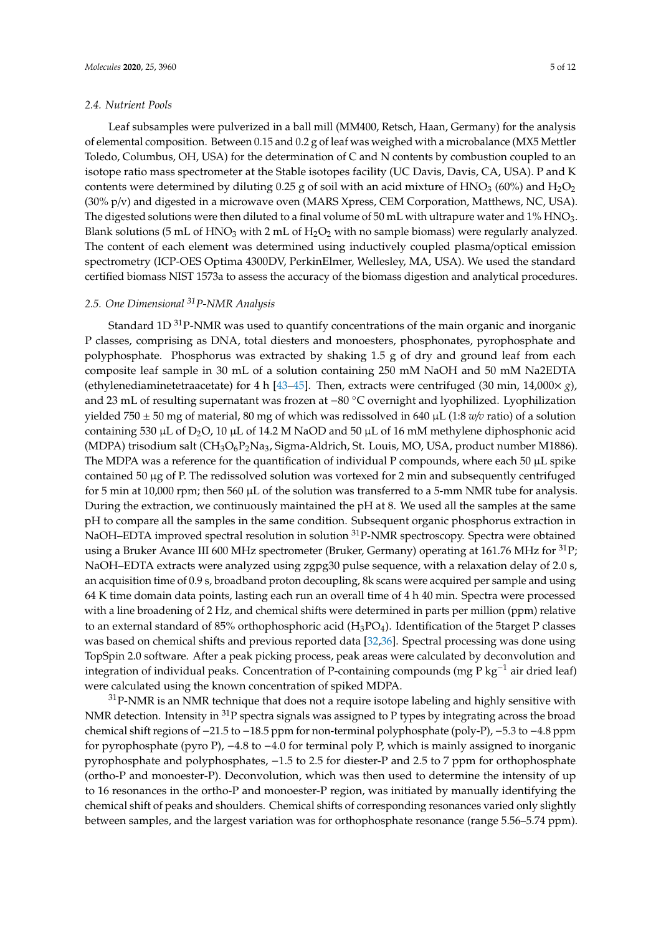### *2.4. Nutrient Pools*

Leaf subsamples were pulverized in a ball mill (MM400, Retsch, Haan, Germany) for the analysis of elemental composition. Between 0.15 and 0.2 g of leaf was weighed with a microbalance (MX5 Mettler Toledo, Columbus, OH, USA) for the determination of C and N contents by combustion coupled to an isotope ratio mass spectrometer at the Stable isotopes facility (UC Davis, Davis, CA, USA). P and K contents were determined by diluting 0.25 g of soil with an acid mixture of HNO<sub>3</sub> (60%) and  $H_2O_2$  $(30\% \text{ p/v})$  and digested in a microwave oven (MARS Xpress, CEM Corporation, Matthews, NC, USA). The digested solutions were then diluted to a final volume of 50 mL with ultrapure water and  $1\%$  HNO<sub>3</sub>. Blank solutions (5 mL of HNO<sub>3</sub> with 2 mL of H<sub>2</sub>O<sub>2</sub> with no sample biomass) were regularly analyzed. The content of each element was determined using inductively coupled plasma/optical emission spectrometry (ICP-OES Optima 4300DV, PerkinElmer, Wellesley, MA, USA). We used the standard certified biomass NIST 1573a to assess the accuracy of the biomass digestion and analytical procedures.

# *2.5. One Dimensional <sup>31</sup>P-NMR Analysis*

Standard 1D<sup>31</sup>P-NMR was used to quantify concentrations of the main organic and inorganic P classes, comprising as DNA, total diesters and monoesters, phosphonates, pyrophosphate and polyphosphate. Phosphorus was extracted by shaking 1.5 g of dry and ground leaf from each composite leaf sample in 30 mL of a solution containing 250 mM NaOH and 50 mM Na2EDTA (ethylenediaminetetraacetate) for 4 h [\[43](#page-10-11)[–45\]](#page-10-12). Then, extracts were centrifuged (30 min, 14,000 $\times g$ ), and 23 mL of resulting supernatant was frozen at −80 ◦C overnight and lyophilized. Lyophilization yielded 750  $\pm$  50 mg of material, 80 mg of which was redissolved in 640  $\mu$ L (1:8 *w/v* ratio) of a solution containing 530 µL of D<sub>2</sub>O, 10 µL of 14.2 M NaOD and 50 µL of 16 mM methylene diphosphonic acid (MDPA) trisodium salt (CH<sub>3</sub>O<sub>6</sub>P<sub>2</sub>Na<sub>3</sub>, Sigma-Aldrich, St. Louis, MO, USA, product number M1886). The MDPA was a reference for the quantification of individual P compounds, where each 50  $\mu$ L spike contained 50 µg of P. The redissolved solution was vortexed for 2 min and subsequently centrifuged for 5 min at 10,000 rpm; then 560  $\mu$ L of the solution was transferred to a 5-mm NMR tube for analysis. During the extraction, we continuously maintained the pH at 8. We used all the samples at the same pH to compare all the samples in the same condition. Subsequent organic phosphorus extraction in NaOH–EDTA improved spectral resolution in solution <sup>31</sup>P-NMR spectroscopy. Spectra were obtained using a Bruker Avance III 600 MHz spectrometer (Bruker, Germany) operating at 161.76 MHz for  $^{31}P$ ; NaOH–EDTA extracts were analyzed using zgpg30 pulse sequence, with a relaxation delay of 2.0 s, an acquisition time of 0.9 s, broadband proton decoupling, 8k scans were acquired per sample and using 64 K time domain data points, lasting each run an overall time of 4 h 40 min. Spectra were processed with a line broadening of 2 Hz, and chemical shifts were determined in parts per million (ppm) relative to an external standard of 85% orthophosphoric acid  $(H_3PO_4)$ . Identification of the 5target P classes was based on chemical shifts and previous reported data [\[32](#page-10-4)[,36\]](#page-10-6). Spectral processing was done using TopSpin 2.0 software. After a peak picking process, peak areas were calculated by deconvolution and integration of individual peaks. Concentration of P-containing compounds (mg P kg−<sup>1</sup> air dried leaf) were calculated using the known concentration of spiked MDPA.

 $31P-NMR$  is an NMR technique that does not a require isotope labeling and highly sensitive with NMR detection. Intensity in <sup>31</sup>P spectra signals was assigned to P types by integrating across the broad chemical shift regions of −21.5 to −18.5 ppm for non-terminal polyphosphate (poly-P), −5.3 to −4.8 ppm for pyrophosphate (pyro P), −4.8 to −4.0 for terminal poly P, which is mainly assigned to inorganic pyrophosphate and polyphosphates, −1.5 to 2.5 for diester-P and 2.5 to 7 ppm for orthophosphate (ortho-P and monoester-P). Deconvolution, which was then used to determine the intensity of up to 16 resonances in the ortho-P and monoester-P region, was initiated by manually identifying the chemical shift of peaks and shoulders. Chemical shifts of corresponding resonances varied only slightly between samples, and the largest variation was for orthophosphate resonance (range 5.56–5.74 ppm).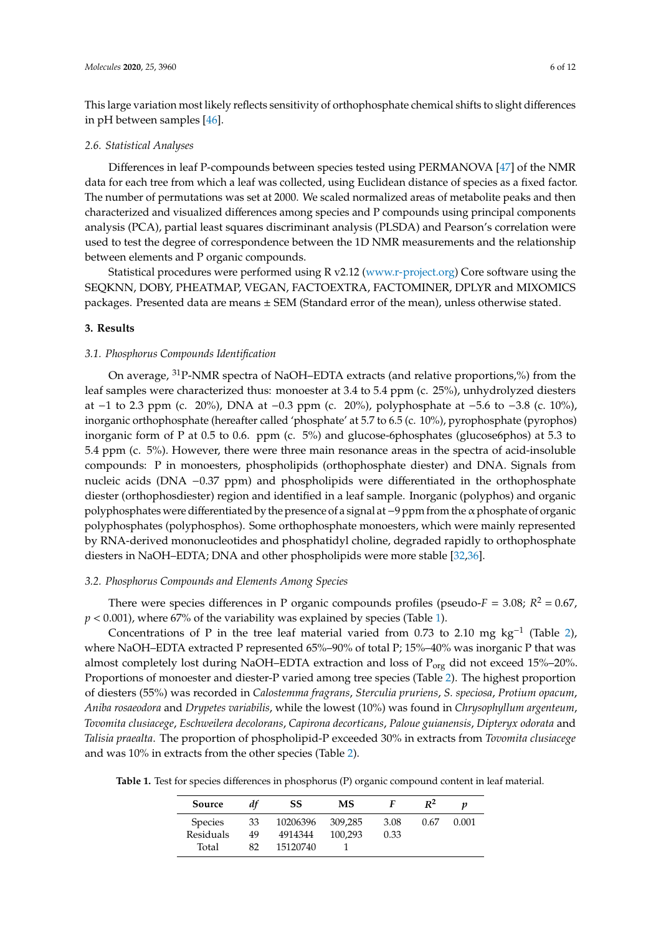This large variation most likely reflects sensitivity of orthophosphate chemical shifts to slight differences in pH between samples [\[46\]](#page-10-13).

#### *2.6. Statistical Analyses*

Differences in leaf P-compounds between species tested using PERMANOVA [\[47\]](#page-10-14) of the NMR data for each tree from which a leaf was collected, using Euclidean distance of species as a fixed factor. The number of permutations was set at 2000. We scaled normalized areas of metabolite peaks and then characterized and visualized differences among species and P compounds using principal components analysis (PCA), partial least squares discriminant analysis (PLSDA) and Pearson's correlation were used to test the degree of correspondence between the 1D NMR measurements and the relationship between elements and P organic compounds.

Statistical procedures were performed using R v2.12 [\(www.r-project.org\)](www.r-project.org) Core software using the SEQKNN, DOBY, PHEATMAP, VEGAN, FACTOEXTRA, FACTOMINER, DPLYR and MIXOMICS packages. Presented data are means ± SEM (Standard error of the mean), unless otherwise stated.

#### **3. Results**

#### *3.1. Phosphorus Compounds Identification*

On average,  ${}^{31}P$ -NMR spectra of NaOH–EDTA extracts (and relative proportions,%) from the leaf samples were characterized thus: monoester at 3.4 to 5.4 ppm (c. 25%), unhydrolyzed diesters at −1 to 2.3 ppm (c. 20%), DNA at −0.3 ppm (c. 20%), polyphosphate at −5.6 to −3.8 (c. 10%), inorganic orthophosphate (hereafter called 'phosphate' at 5.7 to 6.5 (c. 10%), pyrophosphate (pyrophos) inorganic form of P at 0.5 to 0.6. ppm (c. 5%) and glucose-6phosphates (glucose6phos) at 5.3 to 5.4 ppm (c. 5%). However, there were three main resonance areas in the spectra of acid-insoluble compounds: P in monoesters, phospholipids (orthophosphate diester) and DNA. Signals from nucleic acids (DNA −0.37 ppm) and phospholipids were differentiated in the orthophosphate diester (orthophosdiester) region and identified in a leaf sample. Inorganic (polyphos) and organic polyphosphates were differentiated by the presence of a signal at−9 ppm from theαphosphate of organic polyphosphates (polyphosphos). Some orthophosphate monoesters, which were mainly represented by RNA-derived mononucleotides and phosphatidyl choline, degraded rapidly to orthophosphate diesters in NaOH–EDTA; DNA and other phospholipids were more stable [\[32](#page-10-4)[,36\]](#page-10-6).

#### *3.2. Phosphorus Compounds and Elements Among Species*

There were species differences in P organic compounds profiles (pseudo- $F = 3.08$ ;  $R^2 = 0.67$ ,  $p < 0.001$ ), where 67% of the variability was explained by species (Table [1\)](#page-5-0).

Concentrations of P in the tree leaf material varied from 0.73 to 2.10 mg kg<sup>-1</sup> (Table [2\)](#page-6-0), where NaOH–EDTA extracted P represented 65%–90% of total P; 15%–40% was inorganic P that was almost completely lost during NaOH–EDTA extraction and loss of P<sub>org</sub> did not exceed 15%–20%. Proportions of monoester and diester-P varied among tree species (Table [2\)](#page-6-0). The highest proportion of diesters (55%) was recorded in *Calostemma fragrans*, *Sterculia pruriens*, *S. speciosa*, *Protium opacum*, *Aniba rosaeodora* and *Drypetes variabilis*, while the lowest (10%) was found in *Chrysophyllum argenteum*, *Tovomita clusiacege*, *Eschweilera decolorans*, *Capirona decorticans*, *Paloue guianensis*, *Dipteryx odorata* and *Talisia praealta*. The proportion of phospholipid-P exceeded 30% in extracts from *Tovomita clusiacege* and was 10% in extracts from the other species (Table [2\)](#page-6-0).

| Source    | df | SS       | MS      |      | $R^2$ | v     |
|-----------|----|----------|---------|------|-------|-------|
| Species   | 33 | 10206396 | 309.285 | 3.08 | 0.67  | 0.001 |
| Residuals | 49 | 4914344  | 100.293 | 0.33 |       |       |
| Total     | 82 | 15120740 |         |      |       |       |

<span id="page-5-0"></span>**Table 1.** Test for species differences in phosphorus (P) organic compound content in leaf material.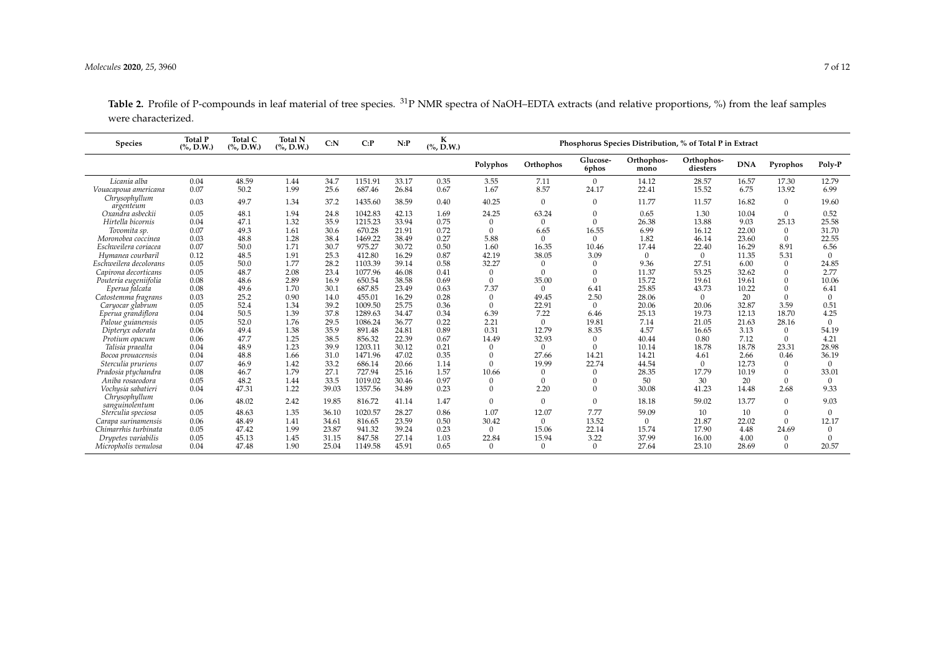<span id="page-6-0"></span>

| <b>Species</b>                  | <b>Total P</b><br>$(\%, D.W.)$ | <b>Total C</b><br>(%, D.W.) | <b>Total N</b><br>(%, D.W.) | C: N  | C: P    | N:P   | K<br>(%, D.W.) | Phosphorus Species Distribution, % of Total P in Extract |              |                   |                    |                        |            |              |              |
|---------------------------------|--------------------------------|-----------------------------|-----------------------------|-------|---------|-------|----------------|----------------------------------------------------------|--------------|-------------------|--------------------|------------------------|------------|--------------|--------------|
|                                 |                                |                             |                             |       |         |       |                | Polyphos                                                 | Orthophos    | Glucose-<br>6phos | Orthophos-<br>mono | Orthophos-<br>diesters | <b>DNA</b> | Pyrophos     | Poly-P       |
| Licania alba                    | 0.04                           | 48.59                       | 1.44                        | 34.7  | 1151.91 | 33.17 | 0.35           | 3.55                                                     | 7.11         | $\mathbf{0}$      | 14.12              | 28.57                  | 16.57      | 17.30        | 12.79        |
| Vouacapoua americana            | 0.07                           | 50.2                        | 1.99                        | 25.6  | 687.46  | 26.84 | 0.67           | 1.67                                                     | 8.57         | 24.17             | 22.41              | 15.52                  | 6.75       | 13.92        | 6.99         |
| Chrysophyllum<br>argenteum      | 0.03                           | 49.7                        | 1.34                        | 37.2  | 1435.60 | 38.59 | 0.40           | 40.25                                                    | $\Omega$     | $\mathbf{0}$      | 11.77              | 11.57                  | 16.82      | $\mathbf{0}$ | 19.60        |
| Oxandra asbeckii                | 0.05                           | 48.1                        | 1.94                        | 24.8  | 1042.83 | 42.13 | 1.69           | 24.25                                                    | 63.24        | $\mathbf{0}$      | 0.65               | 1.30                   | 10.04      | $\mathbf{0}$ | 0.52         |
| Hirtella bicornis               | 0.04                           | 47.1                        | 1.32                        | 35.9  | 1215.23 | 33.94 | 0.75           | $\theta$                                                 | $\Omega$     | $\Omega$          | 26.38              | 13.88                  | 9.03       | 25.13        | 25.58        |
| Tovomita sp.                    | 0.07                           | 49.3                        | 1.61                        | 30.6  | 670.28  | 21.91 | 0.72           | $\Omega$                                                 | 6.65         | 16.55             | 6.99               | 16.12                  | 22.00      | $\mathbf{0}$ | 31.70        |
| Moronobea coccinea              | 0.03                           | 48.8                        | 1.28                        | 38.4  | 1469.22 | 38.49 | 0.27           | 5.88                                                     | $\mathbf{0}$ | $\mathbf{0}$      | 1.82               | 46.14                  | 23.60      | $\mathbf{0}$ | 22.55        |
| Eschweilera coriacea            | 0.07                           | 50.0                        | 1.71                        | 30.7  | 975.27  | 30.72 | 0.50           | 1.60                                                     | 16.35        | 10.46             | 17.44              | 22.40                  | 16.29      | 8.91         | 6.56         |
| Hymanea courbaril               | 0.12                           | 48.5                        | 1.91                        | 25.3  | 412.80  | 16.29 | 0.87           | 42.19                                                    | 38.05        | 3.09              | $\Omega$           | $\mathbf{0}$           | 11.35      | 5.31         | $\Omega$     |
| Eschweilera decolorans          | 0.05                           | 50.0                        | 1.77                        | 28.2  | 1103.39 | 39.14 | 0.58           | 32.27                                                    | $\mathbf{0}$ | $\Omega$          | 9.36               | 27.51                  | 6.00       | $\mathbf{0}$ | 24.85        |
| Capirona decorticans            | 0.05                           | 48.7                        | 2.08                        | 23.4  | 1077.96 | 46.08 | 0.41           | $\theta$                                                 | $\Omega$     | $\Omega$          | 11.37              | 53.25                  | 32.62      | $\mathbf{0}$ | 2.77         |
| Pouteria eugeniifolia           | 0.08                           | 48.6                        | 2.89                        | 16.9  | 650.54  | 38.58 | 0.69           | $\Omega$                                                 | 35.00        | $\Omega$          | 15.72              | 19.61                  | 19.61      | $\Omega$     | 10.06        |
| Eperua falcata                  | 0.08                           | 49.6                        | 1.70                        | 30.1  | 687.85  | 23.49 | 0.63           | 7.37                                                     | $\Omega$     | 6.41              | 25.85              | 43.73                  | 10.22      | $\Omega$     | 6.41         |
| Catostemma fragrans             | 0.03                           | 25.2                        | 0.90                        | 14.0  | 455.01  | 16.29 | 0.28           | $\overline{0}$                                           | 49.45        | 2.50              | 28.06              | $\mathbf{0}$           | 20         | $\Omega$     | $\Omega$     |
| Caryocar glabrum                | 0.05                           | 52.4                        | 1.34                        | 39.2  | 1009.50 | 25.75 | 0.36           | $\Omega$                                                 | 22.91        | $\Omega$          | 20.06              | 20.06                  | 32.87      | 3.59         | 0.51         |
| Eperua grandiflora              | 0.04                           | 50.5                        | 1.39                        | 37.8  | 1289.63 | 34.47 | 0.34           | 6.39                                                     | 7.22         | 6.46              | 25.13              | 19.73                  | 12.13      | 18.70        | 4.25         |
| Paloue guianensis               | 0.05                           | 52.0                        | 1.76                        | 29.5  | 1086.24 | 36.77 | 0.22           | 2.21                                                     | $\mathbf{0}$ | 19.81             | 7.14               | 21.05                  | 21.63      | 28.16        | $\Omega$     |
| Dipteryx odorata                | 0.06                           | 49.4                        | 1.38                        | 35.9  | 891.48  | 24.81 | 0.89           | 0.31                                                     | 12.79        | 8.35              | 4.57               | 16.65                  | 3.13       | $\mathbf{0}$ | 54.19        |
| Protium opacum                  | 0.06                           | 47.7                        | 1.25                        | 38.5  | 856.32  | 22.39 | 0.67           | 14.49                                                    | 32.93        | $\mathbf{0}$      | 40.44              | 0.80                   | 7.12       | $\Omega$     | 4.21         |
| Talisia praealta                | 0.04                           | 48.9                        | 1.23                        | 39.9  | 1203.11 | 30.12 | 0.21           | $\overline{0}$                                           | $\Omega$     | $\Omega$          | 10.14              | 18.78                  | 18.78      | 23.31        | 28.98        |
| Bocoa prouacensis               | 0.04                           | 48.8                        | 1.66                        | 31.0  | 1471.96 | 47.02 | 0.35           | $\overline{0}$                                           | 27.66        | 14.21             | 14.21              | 4.61                   | 2.66       | 0.46         | 36.19        |
| Sterculia pruriens              | 0.07                           | 46.9                        | 1.42                        | 33.2  | 686.14  | 20.66 | 1.14           | $\Omega$                                                 | 19.99        | 22.74             | 44.54              | $\mathbf{0}$           | 12.73      | $\mathbf{0}$ | $\Omega$     |
| Pradosia ptychandra             | 0.08                           | 46.7                        | 1.79                        | 27.1  | 727.94  | 25.16 | 1.57           | 10.66                                                    | $\mathbf{0}$ | $\Omega$          | 28.35              | 17.79                  | 10.19      | $\Omega$     | 33.01        |
| Aniba rosaeodora                | 0.05                           | 48.2                        | 1.44                        | 33.5  | 1019.02 | 30.46 | 0.97           | $\theta$                                                 | $\Omega$     | $\Omega$          | 50                 | 30                     | 20         | $\Omega$     | $\Omega$     |
| Vochysia sabatieri              | 0.04                           | 47.31                       | 1.22                        | 39.03 | 1357.56 | 34.89 | 0.23           | $\Omega$                                                 | 2.20         | $\Omega$          | 30.08              | 41.23                  | 14.48      | 2.68         | 9.33         |
| Chrysophyllum<br>sanguinolentum | 0.06                           | 48.02                       | 2.42                        | 19.85 | 816.72  | 41.14 | 1.47           | $\Omega$                                                 | $\Omega$     | $\Omega$          | 18.18              | 59.02                  | 13.77      | $\mathbf{0}$ | 9.03         |
| Sterculia speciosa              | 0.05                           | 48.63                       | 1.35                        | 36.10 | 1020.57 | 28.27 | 0.86           | 1.07                                                     | 12.07        | 7.77              | 59.09              | 10                     | 10         | $\mathbf{0}$ | $\Omega$     |
| Carapa surinamensis             | 0.06                           | 48.49                       | 1.41                        | 34.61 | 816.65  | 23.59 | 0.50           | 30.42                                                    | $\Omega$     | 13.52             | $\Omega$           | 21.87                  | 22.02      | $\Omega$     | 12.17        |
| Chimarrhis turbinata            | 0.05                           | 47.42                       | 1.99                        | 23.87 | 941.32  | 39.24 | 0.23           | $\Omega$                                                 | 15.06        | 22.14             | 15.74              | 17.90                  | 4.48       | 24.69        | $\mathbf{0}$ |
| Drypetes variabilis             | 0.05                           | 45.13                       | 1.45                        | 31.15 | 847.58  | 27.14 | 1.03           | 22.84                                                    | 15.94        | 3.22              | 37.99              | 16.00                  | 4.00       | $\mathbf{0}$ | $\theta$     |
| Micropholis venulosa            | 0.04                           | 47.48                       | 1.90                        | 25.04 | 1149.58 | 45.91 | 0.65           | $\Omega$                                                 | $\Omega$     | $\Omega$          | 27.64              | 23.10                  | 28.69      | $\Omega$     | 20.57        |

Table 2. Profile of P-compounds in leaf material of tree species. <sup>31</sup>P NMR spectra of NaOH–EDTA extracts (and relative proportions, %) from the leaf samples were characterized.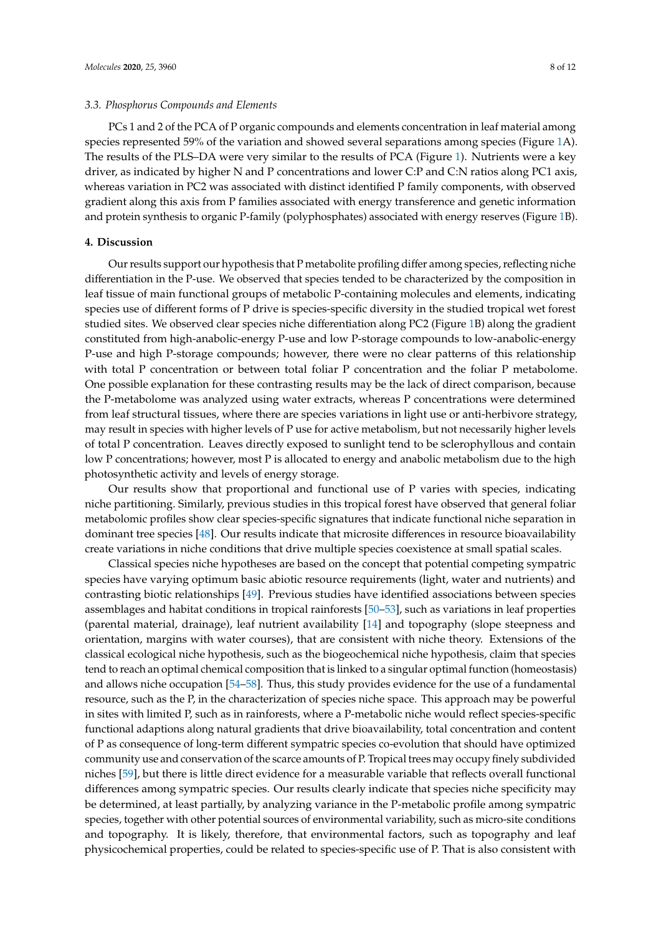#### *3.3. Phosphorus Compounds and Elements*

PCs 1 and 2 of the PCA of P organic compounds and elements concentration in leaf material among species represented 59% of the variation and showed several separations among species (Figure [1A](#page-3-0)). The results of the PLS–DA were very similar to the results of PCA (Figure [1\)](#page-3-0). Nutrients were a key driver, as indicated by higher N and P concentrations and lower C:P and C:N ratios along PC1 axis, whereas variation in PC2 was associated with distinct identified P family components, with observed gradient along this axis from P families associated with energy transference and genetic information and protein synthesis to organic P-family (polyphosphates) associated with energy reserves (Figure [1B](#page-3-0)).

# **4. Discussion**

Our results support our hypothesis that P metabolite profiling differ among species, reflecting niche differentiation in the P-use. We observed that species tended to be characterized by the composition in leaf tissue of main functional groups of metabolic P-containing molecules and elements, indicating species use of different forms of P drive is species-specific diversity in the studied tropical wet forest studied sites. We observed clear species niche differentiation along PC2 (Figure [1B](#page-3-0)) along the gradient constituted from high-anabolic-energy P-use and low P-storage compounds to low-anabolic-energy P-use and high P-storage compounds; however, there were no clear patterns of this relationship with total P concentration or between total foliar P concentration and the foliar P metabolome. One possible explanation for these contrasting results may be the lack of direct comparison, because the P-metabolome was analyzed using water extracts, whereas P concentrations were determined from leaf structural tissues, where there are species variations in light use or anti-herbivore strategy, may result in species with higher levels of P use for active metabolism, but not necessarily higher levels of total P concentration. Leaves directly exposed to sunlight tend to be sclerophyllous and contain low P concentrations; however, most P is allocated to energy and anabolic metabolism due to the high photosynthetic activity and levels of energy storage.

Our results show that proportional and functional use of P varies with species, indicating niche partitioning. Similarly, previous studies in this tropical forest have observed that general foliar metabolomic profiles show clear species-specific signatures that indicate functional niche separation in dominant tree species [\[48\]](#page-10-15). Our results indicate that microsite differences in resource bioavailability create variations in niche conditions that drive multiple species coexistence at small spatial scales.

Classical species niche hypotheses are based on the concept that potential competing sympatric species have varying optimum basic abiotic resource requirements (light, water and nutrients) and contrasting biotic relationships [\[49\]](#page-10-16). Previous studies have identified associations between species assemblages and habitat conditions in tropical rainforests [\[50–](#page-10-17)[53\]](#page-11-0), such as variations in leaf properties (parental material, drainage), leaf nutrient availability [\[14\]](#page-9-7) and topography (slope steepness and orientation, margins with water courses), that are consistent with niche theory. Extensions of the classical ecological niche hypothesis, such as the biogeochemical niche hypothesis, claim that species tend to reach an optimal chemical composition that is linked to a singular optimal function (homeostasis) and allows niche occupation [\[54–](#page-11-1)[58\]](#page-11-2). Thus, this study provides evidence for the use of a fundamental resource, such as the P, in the characterization of species niche space. This approach may be powerful in sites with limited P, such as in rainforests, where a P-metabolic niche would reflect species-specific functional adaptions along natural gradients that drive bioavailability, total concentration and content of P as consequence of long-term different sympatric species co-evolution that should have optimized community use and conservation of the scarce amounts of P. Tropical trees may occupy finely subdivided niches [\[59\]](#page-11-3), but there is little direct evidence for a measurable variable that reflects overall functional differences among sympatric species. Our results clearly indicate that species niche specificity may be determined, at least partially, by analyzing variance in the P-metabolic profile among sympatric species, together with other potential sources of environmental variability, such as micro-site conditions and topography. It is likely, therefore, that environmental factors, such as topography and leaf physicochemical properties, could be related to species-specific use of P. That is also consistent with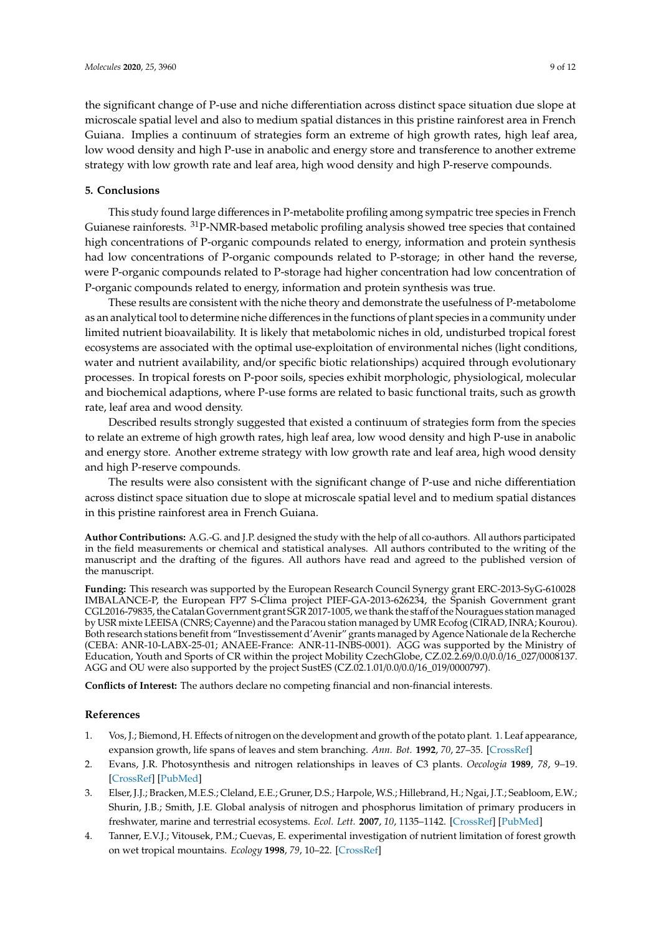the significant change of P-use and niche differentiation across distinct space situation due slope at microscale spatial level and also to medium spatial distances in this pristine rainforest area in French Guiana. Implies a continuum of strategies form an extreme of high growth rates, high leaf area, low wood density and high P-use in anabolic and energy store and transference to another extreme strategy with low growth rate and leaf area, high wood density and high P-reserve compounds.

# **5. Conclusions**

This study found large differences in P-metabolite profiling among sympatric tree species in French Guianese rainforests. <sup>31</sup>P-NMR-based metabolic profiling analysis showed tree species that contained high concentrations of P-organic compounds related to energy, information and protein synthesis had low concentrations of P-organic compounds related to P-storage; in other hand the reverse, were P-organic compounds related to P-storage had higher concentration had low concentration of P-organic compounds related to energy, information and protein synthesis was true.

These results are consistent with the niche theory and demonstrate the usefulness of P-metabolome as an analytical tool to determine niche differences in the functions of plant species in a community under limited nutrient bioavailability. It is likely that metabolomic niches in old, undisturbed tropical forest ecosystems are associated with the optimal use-exploitation of environmental niches (light conditions, water and nutrient availability, and/or specific biotic relationships) acquired through evolutionary processes. In tropical forests on P-poor soils, species exhibit morphologic, physiological, molecular and biochemical adaptions, where P-use forms are related to basic functional traits, such as growth rate, leaf area and wood density.

Described results strongly suggested that existed a continuum of strategies form from the species to relate an extreme of high growth rates, high leaf area, low wood density and high P-use in anabolic and energy store. Another extreme strategy with low growth rate and leaf area, high wood density and high P-reserve compounds.

The results were also consistent with the significant change of P-use and niche differentiation across distinct space situation due to slope at microscale spatial level and to medium spatial distances in this pristine rainforest area in French Guiana.

**Author Contributions:** A.G.-G. and J.P. designed the study with the help of all co-authors. All authors participated in the field measurements or chemical and statistical analyses. All authors contributed to the writing of the manuscript and the drafting of the figures. All authors have read and agreed to the published version of the manuscript.

**Funding:** This research was supported by the European Research Council Synergy grant ERC-2013-SyG-610028 IMBALANCE-P, the European FP7 S-Clima project PIEF-GA-2013-626234, the Spanish Government grant CGL2016-79835, the Catalan Government grant SGR 2017-1005, we thank the staff of the Nouragues station managed by USR mixte LEEISA (CNRS; Cayenne) and the Paracou station managed by UMR Ecofog (CIRAD, INRA; Kourou). Both research stations benefit from "Investissement d'Avenir" grants managed by Agence Nationale de la Recherche (CEBA: ANR-10-LABX-25-01; ANAEE-France: ANR-11-INBS-0001). AGG was supported by the Ministry of Education, Youth and Sports of CR within the project Mobility CzechGlobe, CZ.02.2.69/0.0/0.0/16\_027/0008137. AGG and OU were also supported by the project SustES (CZ.02.1.01/0.0/0.0/16\_019/0000797).

**Conflicts of Interest:** The authors declare no competing financial and non-financial interests.

# **References**

- <span id="page-8-0"></span>1. Vos, J.; Biemond, H. Effects of nitrogen on the development and growth of the potato plant. 1. Leaf appearance, expansion growth, life spans of leaves and stem branching. *Ann. Bot.* **1992**, *70*, 27–35. [\[CrossRef\]](http://dx.doi.org/10.1093/oxfordjournals.aob.a088435)
- <span id="page-8-1"></span>2. Evans, J.R. Photosynthesis and nitrogen relationships in leaves of C3 plants. *Oecologia* **1989**, *78*, 9–19. [\[CrossRef\]](http://dx.doi.org/10.1007/BF00377192) [\[PubMed\]](http://www.ncbi.nlm.nih.gov/pubmed/28311896)
- <span id="page-8-2"></span>3. Elser, J.J.; Bracken, M.E.S.; Cleland, E.E.; Gruner, D.S.; Harpole, W.S.; Hillebrand, H.; Ngai, J.T.; Seabloom, E.W.; Shurin, J.B.; Smith, J.E. Global analysis of nitrogen and phosphorus limitation of primary producers in freshwater, marine and terrestrial ecosystems. *Ecol. Lett.* **2007**, *10*, 1135–1142. [\[CrossRef\]](http://dx.doi.org/10.1111/j.1461-0248.2007.01113.x) [\[PubMed\]](http://www.ncbi.nlm.nih.gov/pubmed/17922835)
- <span id="page-8-3"></span>4. Tanner, E.V.J.; Vitousek, P.M.; Cuevas, E. experimental investigation of nutrient limitation of forest growth on wet tropical mountains. *Ecology* **1998**, *79*, 10–22. [\[CrossRef\]](http://dx.doi.org/10.1890/0012-9658(1998)079[0010:EIONLO]2.0.CO;2)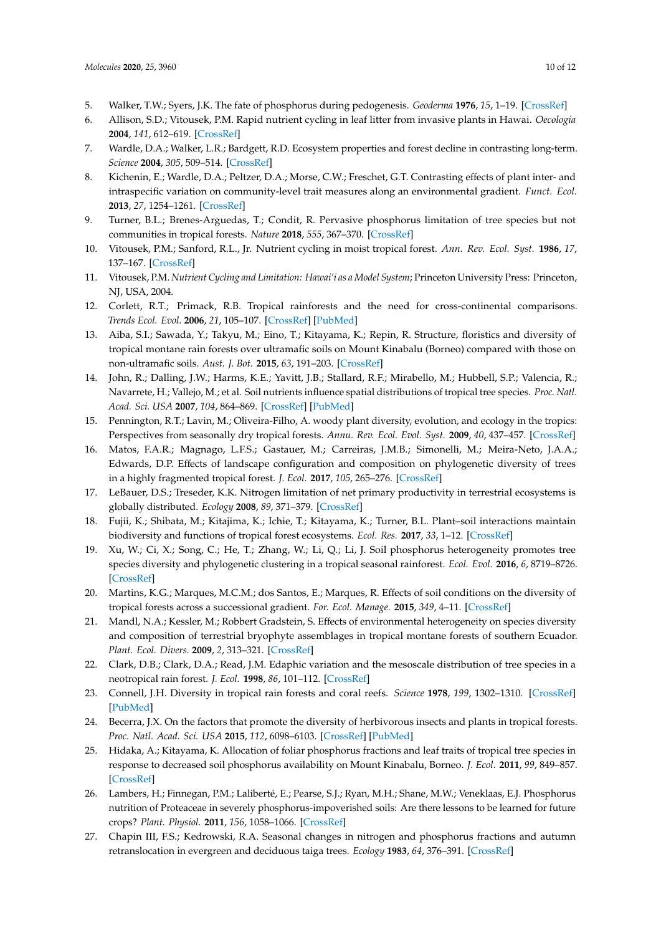- <span id="page-9-0"></span>5. Walker, T.W.; Syers, J.K. The fate of phosphorus during pedogenesis. *Geoderma* **1976**, *15*, 1–19. [\[CrossRef\]](http://dx.doi.org/10.1016/0016-7061(76)90066-5)
- 6. Allison, S.D.; Vitousek, P.M. Rapid nutrient cycling in leaf litter from invasive plants in Hawai. *Oecologia* **2004**, *141*, 612–619. [\[CrossRef\]](http://dx.doi.org/10.1007/s00442-004-1679-z)
- 7. Wardle, D.A.; Walker, L.R.; Bardgett, R.D. Ecosystem properties and forest decline in contrasting long-term. *Science* **2004**, *305*, 509–514. [\[CrossRef\]](http://dx.doi.org/10.1126/science.1098778)
- <span id="page-9-1"></span>8. Kichenin, E.; Wardle, D.A.; Peltzer, D.A.; Morse, C.W.; Freschet, G.T. Contrasting effects of plant inter- and intraspecific variation on community-level trait measures along an environmental gradient. *Funct. Ecol.* **2013**, *27*, 1254–1261. [\[CrossRef\]](http://dx.doi.org/10.1111/1365-2435.12116)
- <span id="page-9-2"></span>9. Turner, B.L.; Brenes-Arguedas, T.; Condit, R. Pervasive phosphorus limitation of tree species but not communities in tropical forests. *Nature* **2018**, *555*, 367–370. [\[CrossRef\]](http://dx.doi.org/10.1038/nature25789)
- <span id="page-9-3"></span>10. Vitousek, P.M.; Sanford, R.L., Jr. Nutrient cycling in moist tropical forest. *Ann. Rev. Ecol. Syst.* **1986**, *17*, 137–167. [\[CrossRef\]](http://dx.doi.org/10.1146/annurev.es.17.110186.001033)
- <span id="page-9-4"></span>11. Vitousek, P.M. *Nutrient Cycling and Limitation: Hawai'i as a Model System*; Princeton University Press: Princeton, NJ, USA, 2004.
- <span id="page-9-5"></span>12. Corlett, R.T.; Primack, R.B. Tropical rainforests and the need for cross-continental comparisons. *Trends Ecol. Evol.* **2006**, *21*, 105–107. [\[CrossRef\]](http://dx.doi.org/10.1016/j.tree.2005.12.002) [\[PubMed\]](http://www.ncbi.nlm.nih.gov/pubmed/16701482)
- <span id="page-9-6"></span>13. Aiba, S.I.; Sawada, Y.; Takyu, M.; Eino, T.; Kitayama, K.; Repin, R. Structure, floristics and diversity of tropical montane rain forests over ultramafic soils on Mount Kinabalu (Borneo) compared with those on non-ultramafic soils. *Aust. J. Bot.* **2015**, *63*, 191–203. [\[CrossRef\]](http://dx.doi.org/10.1071/BT14238)
- <span id="page-9-7"></span>14. John, R.; Dalling, J.W.; Harms, K.E.; Yavitt, J.B.; Stallard, R.F.; Mirabello, M.; Hubbell, S.P.; Valencia, R.; Navarrete, H.; Vallejo, M.; et al. Soil nutrients influence spatial distributions of tropical tree species. *Proc. Natl. Acad. Sci. USA* **2007**, *104*, 864–869. [\[CrossRef\]](http://dx.doi.org/10.1073/pnas.0604666104) [\[PubMed\]](http://www.ncbi.nlm.nih.gov/pubmed/17215353)
- <span id="page-9-8"></span>15. Pennington, R.T.; Lavin, M.; Oliveira-Filho, A. woody plant diversity, evolution, and ecology in the tropics: Perspectives from seasonally dry tropical forests. *Annu. Rev. Ecol. Evol. Syst.* **2009**, *40*, 437–457. [\[CrossRef\]](http://dx.doi.org/10.1146/annurev.ecolsys.110308.120327)
- <span id="page-9-9"></span>16. Matos, F.A.R.; Magnago, L.F.S.; Gastauer, M.; Carreiras, J.M.B.; Simonelli, M.; Meira-Neto, J.A.A.; Edwards, D.P. Effects of landscape configuration and composition on phylogenetic diversity of trees in a highly fragmented tropical forest. *J. Ecol.* **2017**, *105*, 265–276. [\[CrossRef\]](http://dx.doi.org/10.1111/1365-2745.12661)
- <span id="page-9-10"></span>17. LeBauer, D.S.; Treseder, K.K. Nitrogen limitation of net primary productivity in terrestrial ecosystems is globally distributed. *Ecology* **2008**, *89*, 371–379. [\[CrossRef\]](http://dx.doi.org/10.1890/06-2057.1)
- 18. Fujii, K.; Shibata, M.; Kitajima, K.; Ichie, T.; Kitayama, K.; Turner, B.L. Plant–soil interactions maintain biodiversity and functions of tropical forest ecosystems. *Ecol. Res.* **2017**, *33*, 1–12. [\[CrossRef\]](http://dx.doi.org/10.1007/s11284-017-1511-y)
- <span id="page-9-11"></span>19. Xu, W.; Ci, X.; Song, C.; He, T.; Zhang, W.; Li, Q.; Li, J. Soil phosphorus heterogeneity promotes tree species diversity and phylogenetic clustering in a tropical seasonal rainforest. *Ecol. Evol.* **2016**, *6*, 8719–8726. [\[CrossRef\]](http://dx.doi.org/10.1002/ece3.2529)
- <span id="page-9-12"></span>20. Martins, K.G.; Marques, M.C.M.; dos Santos, E.; Marques, R. Effects of soil conditions on the diversity of tropical forests across a successional gradient. *For. Ecol. Manage.* **2015**, *349*, 4–11. [\[CrossRef\]](http://dx.doi.org/10.1016/j.foreco.2015.04.018)
- <span id="page-9-13"></span>21. Mandl, N.A.; Kessler, M.; Robbert Gradstein, S. Effects of environmental heterogeneity on species diversity and composition of terrestrial bryophyte assemblages in tropical montane forests of southern Ecuador. *Plant. Ecol. Divers.* **2009**, *2*, 313–321. [\[CrossRef\]](http://dx.doi.org/10.1080/17550870903341877)
- <span id="page-9-14"></span>22. Clark, D.B.; Clark, D.A.; Read, J.M. Edaphic variation and the mesoscale distribution of tree species in a neotropical rain forest. *J. Ecol.* **1998**, *86*, 101–112. [\[CrossRef\]](http://dx.doi.org/10.1046/j.1365-2745.1998.00238.x)
- <span id="page-9-15"></span>23. Connell, J.H. Diversity in tropical rain forests and coral reefs. *Science* **1978**, *199*, 1302–1310. [\[CrossRef\]](http://dx.doi.org/10.1126/science.199.4335.1302) [\[PubMed\]](http://www.ncbi.nlm.nih.gov/pubmed/17840770)
- <span id="page-9-16"></span>24. Becerra, J.X. On the factors that promote the diversity of herbivorous insects and plants in tropical forests. *Proc. Natl. Acad. Sci. USA* **2015**, *112*, 6098–6103. [\[CrossRef\]](http://dx.doi.org/10.1073/pnas.1418643112) [\[PubMed\]](http://www.ncbi.nlm.nih.gov/pubmed/25902509)
- <span id="page-9-17"></span>25. Hidaka, A.; Kitayama, K. Allocation of foliar phosphorus fractions and leaf traits of tropical tree species in response to decreased soil phosphorus availability on Mount Kinabalu, Borneo. *J. Ecol.* **2011**, *99*, 849–857. [\[CrossRef\]](http://dx.doi.org/10.1111/j.1365-2745.2011.01805.x)
- 26. Lambers, H.; Finnegan, P.M.; Laliberté, E.; Pearse, S.J.; Ryan, M.H.; Shane, M.W.; Veneklaas, E.J. Phosphorus nutrition of Proteaceae in severely phosphorus-impoverished soils: Are there lessons to be learned for future crops? *Plant. Physiol.* **2011**, *156*, 1058–1066. [\[CrossRef\]](http://dx.doi.org/10.1104/pp.111.174318)
- <span id="page-9-18"></span>27. Chapin III, F.S.; Kedrowski, R.A. Seasonal changes in nitrogen and phosphorus fractions and autumn retranslocation in evergreen and deciduous taiga trees. *Ecology* **1983**, *64*, 376–391. [\[CrossRef\]](http://dx.doi.org/10.2307/1937083)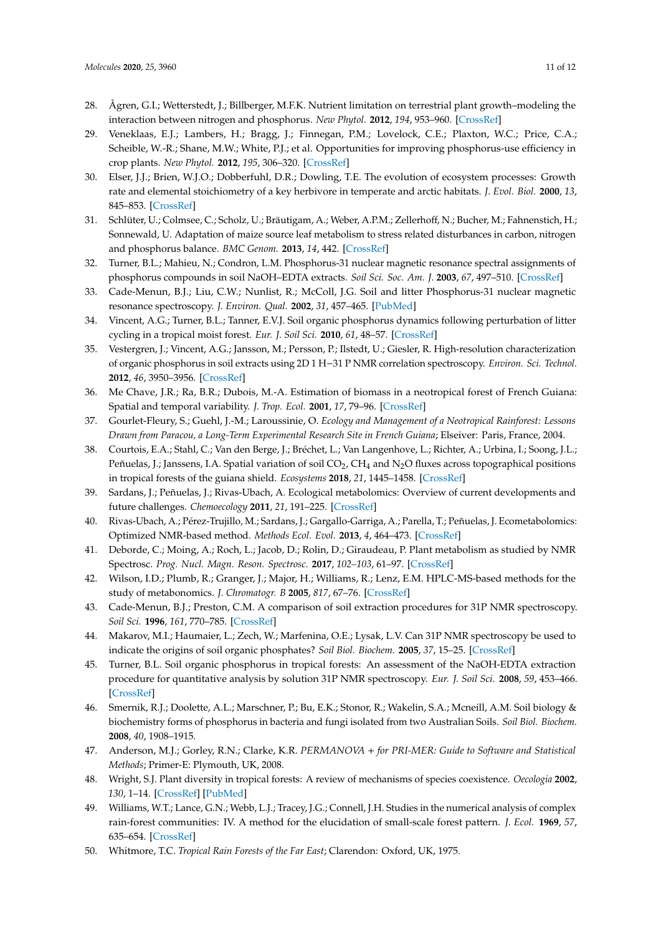- <span id="page-10-0"></span>28. Ågren, G.I.; Wetterstedt, J.; Billberger, M.F.K. Nutrient limitation on terrestrial plant growth–modeling the interaction between nitrogen and phosphorus. *New Phytol.* **2012**, *194*, 953–960. [\[CrossRef\]](http://dx.doi.org/10.1111/j.1469-8137.2012.04116.x)
- <span id="page-10-1"></span>29. Veneklaas, E.J.; Lambers, H.; Bragg, J.; Finnegan, P.M.; Lovelock, C.E.; Plaxton, W.C.; Price, C.A.; Scheible, W.-R.; Shane, M.W.; White, P.J.; et al. Opportunities for improving phosphorus-use efficiency in crop plants. *New Phytol.* **2012**, *195*, 306–320. [\[CrossRef\]](http://dx.doi.org/10.1111/j.1469-8137.2012.04190.x)
- <span id="page-10-2"></span>30. Elser, J.J.; Brien, W.J.O.; Dobberfuhl, D.R.; Dowling, T.E. The evolution of ecosystem processes: Growth rate and elemental stoichiometry of a key herbivore in temperate and arctic habitats. *J. Evol. Biol.* **2000**, *13*, 845–853. [\[CrossRef\]](http://dx.doi.org/10.1046/j.1420-9101.2000.00215.x)
- <span id="page-10-3"></span>31. Schlüter, U.; Colmsee, C.; Scholz, U.; Bräutigam, A.; Weber, A.P.M.; Zellerhoff, N.; Bucher, M.; Fahnenstich, H.; Sonnewald, U. Adaptation of maize source leaf metabolism to stress related disturbances in carbon, nitrogen and phosphorus balance. *BMC Genom.* **2013**, *14*, 442. [\[CrossRef\]](http://dx.doi.org/10.1186/1471-2164-14-442)
- <span id="page-10-4"></span>32. Turner, B.L.; Mahieu, N.; Condron, L.M. Phosphorus-31 nuclear magnetic resonance spectral assignments of phosphorus compounds in soil NaOH–EDTA extracts. *Soil Sci. Soc. Am. J.* **2003**, *67*, 497–510. [\[CrossRef\]](http://dx.doi.org/10.2136/sssaj2003.4970)
- 33. Cade-Menun, B.J.; Liu, C.W.; Nunlist, R.; McColl, J.G. Soil and litter Phosphorus-31 nuclear magnetic resonance spectroscopy. *J. Environ. Qual.* **2002**, *31*, 457–465. [\[PubMed\]](http://www.ncbi.nlm.nih.gov/pubmed/11931434)
- 34. Vincent, A.G.; Turner, B.L.; Tanner, E.V.J. Soil organic phosphorus dynamics following perturbation of litter cycling in a tropical moist forest. *Eur. J. Soil Sci.* **2010**, *61*, 48–57. [\[CrossRef\]](http://dx.doi.org/10.1111/j.1365-2389.2009.01200.x)
- <span id="page-10-5"></span>35. Vestergren, J.; Vincent, A.G.; Jansson, M.; Persson, P.; Ilstedt, U.; Giesler, R. High-resolution characterization of organic phosphorus in soil extracts using 2D 1 H−31 P NMR correlation spectroscopy. *Environ. Sci. Technol.* **2012**, *46*, 3950–3956. [\[CrossRef\]](http://dx.doi.org/10.1021/es204016h)
- <span id="page-10-6"></span>36. Me Chave, J.R.; Ra, B.R.; Dubois, M.-A. Estimation of biomass in a neotropical forest of French Guiana: Spatial and temporal variability. *J. Trop. Ecol.* **2001**, *17*, 79–96. [\[CrossRef\]](http://dx.doi.org/10.1017/S0266467401001055)
- <span id="page-10-7"></span>37. Gourlet-Fleury, S.; Guehl, J.-M.; Laroussinie, O. *Ecology and Management of a Neotropical Rainforest: Lessons Drawn from Paracou, a Long-Term Experimental Research Site in French Guiana*; Elseiver: Paris, France, 2004.
- <span id="page-10-8"></span>38. Courtois, E.A.; Stahl, C.; Van den Berge, J.; Bréchet, L.; Van Langenhove, L.; Richter, A.; Urbina, I.; Soong, J.L.; Peñuelas, J.; Janssens, I.A. Spatial variation of soil CO $_2$ , CH $_4$  and N $_2$ O fluxes across topographical positions in tropical forests of the guiana shield. *Ecosystems* **2018**, *21*, 1445–1458. [\[CrossRef\]](http://dx.doi.org/10.1007/s10021-018-0232-6)
- <span id="page-10-9"></span>39. Sardans, J.; Peñuelas, J.; Rivas-Ubach, A. Ecological metabolomics: Overview of current developments and future challenges. *Chemoecology* **2011**, *21*, 191–225. [\[CrossRef\]](http://dx.doi.org/10.1007/s00049-011-0083-5)
- 40. Rivas-Ubach, A.; Pérez-Trujillo, M.; Sardans, J.; Gargallo-Garriga, A.; Parella, T.; Peñuelas, J. Ecometabolomics: Optimized NMR-based method. *Methods Ecol. Evol.* **2013**, *4*, 464–473. [\[CrossRef\]](http://dx.doi.org/10.1111/2041-210X.12028)
- 41. Deborde, C.; Moing, A.; Roch, L.; Jacob, D.; Rolin, D.; Giraudeau, P. Plant metabolism as studied by NMR Spectrosc. *Prog. Nucl. Magn. Reson. Spectrosc.* **2017**, *102–103*, 61–97. [\[CrossRef\]](http://dx.doi.org/10.1016/j.pnmrs.2017.05.001)
- <span id="page-10-10"></span>42. Wilson, I.D.; Plumb, R.; Granger, J.; Major, H.; Williams, R.; Lenz, E.M. HPLC-MS-based methods for the study of metabonomics. *J. Chromatogr. B* **2005**, *817*, 67–76. [\[CrossRef\]](http://dx.doi.org/10.1016/j.jchromb.2004.07.045)
- <span id="page-10-11"></span>43. Cade-Menun, B.J.; Preston, C.M. A comparison of soil extraction procedures for 31P NMR spectroscopy. *Soil Sci.* **1996**, *161*, 770–785. [\[CrossRef\]](http://dx.doi.org/10.1097/00010694-199611000-00006)
- 44. Makarov, M.I.; Haumaier, L.; Zech, W.; Marfenina, O.E.; Lysak, L.V. Can 31P NMR spectroscopy be used to indicate the origins of soil organic phosphates? *Soil Biol. Biochem.* **2005**, *37*, 15–25. [\[CrossRef\]](http://dx.doi.org/10.1016/j.soilbio.2004.07.022)
- <span id="page-10-12"></span>45. Turner, B.L. Soil organic phosphorus in tropical forests: An assessment of the NaOH-EDTA extraction procedure for quantitative analysis by solution 31P NMR spectroscopy. *Eur. J. Soil Sci.* **2008**, *59*, 453–466. [\[CrossRef\]](http://dx.doi.org/10.1111/j.1365-2389.2007.00994.x)
- <span id="page-10-13"></span>46. Smernik, R.J.; Doolette, A.L.; Marschner, P.; Bu, E.K.; Stonor, R.; Wakelin, S.A.; Mcneill, A.M. Soil biology & biochemistry forms of phosphorus in bacteria and fungi isolated from two Australian Soils. *Soil Biol. Biochem.* **2008**, *40*, 1908–1915.
- <span id="page-10-14"></span>47. Anderson, M.J.; Gorley, R.N.; Clarke, K.R. *PERMANOVA* + *for PRI-MER: Guide to Software and Statistical Methods*; Primer-E: Plymouth, UK, 2008.
- <span id="page-10-15"></span>48. Wright, S.J. Plant diversity in tropical forests: A review of mechanisms of species coexistence. *Oecologia* **2002**, *130*, 1–14. [\[CrossRef\]](http://dx.doi.org/10.1007/s004420100809) [\[PubMed\]](http://www.ncbi.nlm.nih.gov/pubmed/28547014)
- <span id="page-10-16"></span>49. Williams, W.T.; Lance, G.N.; Webb, L.J.; Tracey, J.G.; Connell, J.H. Studies in the numerical analysis of complex rain-forest communities: IV. A method for the elucidation of small-scale forest pattern. *J. Ecol.* **1969**, *57*, 635–654. [\[CrossRef\]](http://dx.doi.org/10.2307/2258489)
- <span id="page-10-17"></span>50. Whitmore, T.C. *Tropical Rain Forests of the Far East*; Clarendon: Oxford, UK, 1975.